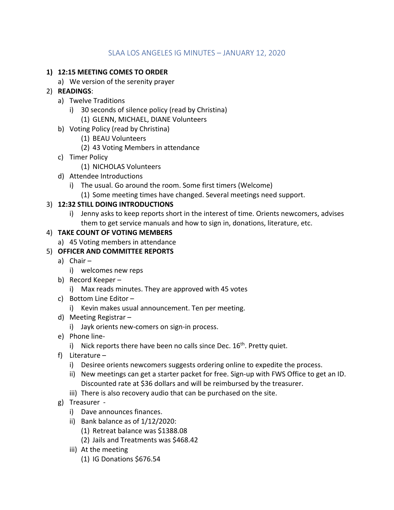# SLAA LOS ANGELES IG MINUTES – JANUARY 12, 2020

#### **1) 12:15 MEETING COMES TO ORDER**

- a) We version of the serenity prayer
- 2) **READINGS**:
	- a) Twelve Traditions
		- i) 30 seconds of silence policy (read by Christina)
			- (1) GLENN, MICHAEL, DIANE Volunteers
	- b) Voting Policy (read by Christina)
		- (1) BEAU Volunteers
		- (2) 43 Voting Members in attendance
	- c) Timer Policy
		- (1) NICHOLAS Volunteers
	- d) Attendee Introductions
		- i) The usual. Go around the room. Some first timers (Welcome)
			- (1) Some meeting times have changed. Several meetings need support.

### 3) **12:32 STILL DOING INTRODUCTIONS**

i) Jenny asks to keep reports short in the interest of time. Orients newcomers, advises them to get service manuals and how to sign in, donations, literature, etc.

### 4) **TAKE COUNT OF VOTING MEMBERS**

a) 45 Voting members in attendance

## 5) **OFFICER AND COMMITTEE REPORTS**

- a) Chair
	- i) welcomes new reps
- b) Record Keeper
	- i) Max reads minutes. They are approved with 45 votes
- c) Bottom Line Editor
	- i) Kevin makes usual announcement. Ten per meeting.
- d) Meeting Registrar
	- i) Jayk orients new-comers on sign-in process.
- e) Phone line
	- i) Nick reports there have been no calls since Dec.  $16<sup>th</sup>$ . Pretty quiet.
- f) Literature
	- i) Desiree orients newcomers suggests ordering online to expedite the process.
	- ii) New meetings can get a starter packet for free. Sign-up with FWS Office to get an ID. Discounted rate at \$36 dollars and will be reimbursed by the treasurer.
	- iii) There is also recovery audio that can be purchased on the site.
- g) Treasurer
	- i) Dave announces finances.
	- ii) Bank balance as of 1/12/2020:
		- (1) Retreat balance was \$1388.08
		- (2) Jails and Treatments was \$468.42
	- iii) At the meeting
		- (1) IG Donations \$676.54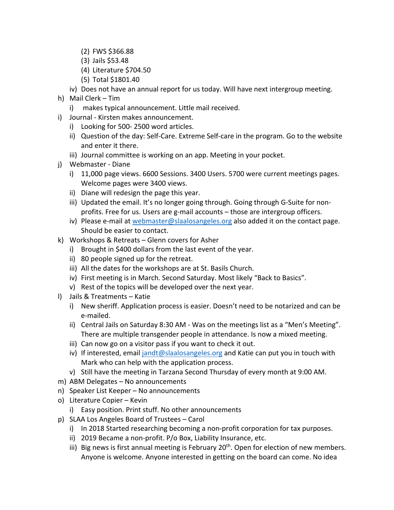- (2) FWS \$366.88
- (3) Jails \$53.48
- (4) Literature \$704.50
- (5) Total \$1801.40
- iv) Does not have an annual report for us today. Will have next intergroup meeting.
- h) Mail Clerk Tim
	- i) makes typical announcement. Little mail received.
- i) Journal Kirsten makes announcement.
	- i) Looking for 500- 2500 word articles.
	- ii) Question of the day: Self-Care. Extreme Self-care in the program. Go to the website and enter it there.
	- iii) Journal committee is working on an app. Meeting in your pocket.
- j) Webmaster Diane
	- i) 11,000 page views. 6600 Sessions. 3400 Users. 5700 were current meetings pages. Welcome pages were 3400 views.
	- ii) Diane will redesign the page this year.
	- iii) Updated the email. It's no longer going through. Going through G-Suite for nonprofits. Free for us. Users are g-mail accounts – those are intergroup officers.
	- iv) Please e-mail at webmaster@slaalosangeles.org also added it on the contact page. Should be easier to contact.
- k) Workshops & Retreats Glenn covers for Asher
	- i) Brought in \$400 dollars from the last event of the year.
	- ii) 80 people signed up for the retreat.
	- iii) All the dates for the workshops are at St. Basils Church.
	- iv) First meeting is in March. Second Saturday. Most likely "Back to Basics".
	- v) Rest of the topics will be developed over the next year.
- l) Jails & Treatments Katie
	- i) New sheriff. Application process is easier. Doesn't need to be notarized and can be e-mailed.
	- ii) Central Jails on Saturday 8:30 AM Was on the meetings list as a "Men's Meeting". There are multiple transgender people in attendance. Is now a mixed meeting.
	- iii) Can now go on a visitor pass if you want to check it out.
	- iv) If interested, email jandt@slaalosangeles.org and Katie can put you in touch with Mark who can help with the application process.
	- v) Still have the meeting in Tarzana Second Thursday of every month at 9:00 AM.
- m) ABM Delegates No announcements
- n) Speaker List Keeper No announcements
- o) Literature Copier Kevin
	- i) Easy position. Print stuff. No other announcements
- p) SLAA Los Angeles Board of Trustees Carol
	- i) In 2018 Started researching becoming a non-profit corporation for tax purposes.
	- ii) 2019 Became a non-profit. P/o Box, Liability Insurance, etc.
	- iii) Big news is first annual meeting is February  $20<sup>th</sup>$ . Open for election of new members. Anyone is welcome. Anyone interested in getting on the board can come. No idea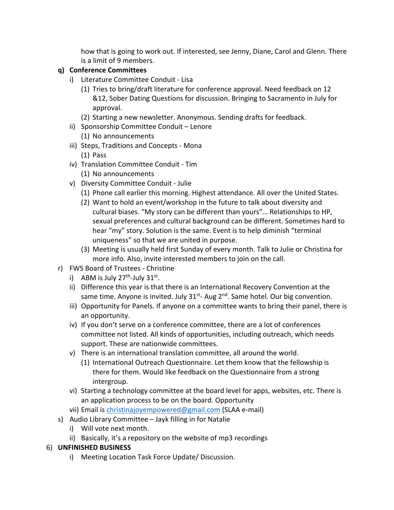how that is going to work out. If interested, see Jenny, Diane, Carol and Glenn. There is a limit of 9 members.

## **q) Conference Committees**

- i) Literature Committee Conduit Lisa
	- (1) Tries to bring/draft literature for conference approval. Need feedback on 12 &12, Sober Dating Questions for discussion. Bringing to Sacramento in July for approval.
	- (2) Starting a new newsletter. Anonymous. Sending drafts for feedback.
- ii) Sponsorship Committee Conduit Lenore (1) No announcements
- iii) Steps, Traditions and Concepts Mona (1) Pass
- iv) Translation Committee Conduit Tim
	- (1) No announcements
- v) Diversity Committee Conduit Julie
	- (1) Phone call earlier this morning. Highest attendance. All over the United States.
	- (2) Want to hold an event/workshop in the future to talk about diversity and cultural biases. "My story can be different than yours"… Relationships to HP, sexual preferences and cultural background can be different. Sometimes hard to hear "my" story. Solution is the same. Event is to help diminish "terminal uniqueness" so that we are united in purpose.
	- (3) Meeting is usually held first Sunday of every month. Talk to Julie or Christina for more info. Also, invite interested members to join on the call.
- r) FWS Board of Trustees Christine
	- i) ABM is July  $27<sup>th</sup>$ -July  $31<sup>st</sup>$ .
	- ii) Difference this year is that there is an International Recovery Convention at the same time. Anyone is invited. July  $31^{st}$ - Aug  $2^{nd}$ . Same hotel. Our big convention.
	- iii) Opportunity for Panels. If anyone on a committee wants to bring their panel, there is an opportunity.
	- iv) If you don't serve on a conference committee, there are a lot of conferences committee not listed. All kinds of opportunities, including outreach, which needs support. These are nationwide committees.
	- v) There is an international translation committee, all around the world.
		- (1) International Outreach Questionnaire. Let them know that the fellowship is there for them. Would like feedback on the Questionnaire from a strong intergroup.
	- vi) Starting a technology committee at the board level for apps, websites, etc. There is an application process to be on the board. Opportunity
	- vii) Email is christinajoyempowered@gmail.com (SLAA e-mail)
- s) Audio Library Committee Jayk filling in for Natalie
	- i) Will vote next month.
	- ii) Basically, it's a repository on the website of mp3 recordings

#### 6) **UNFINISHED BUSINESS**

i) Meeting Location Task Force Update/ Discussion.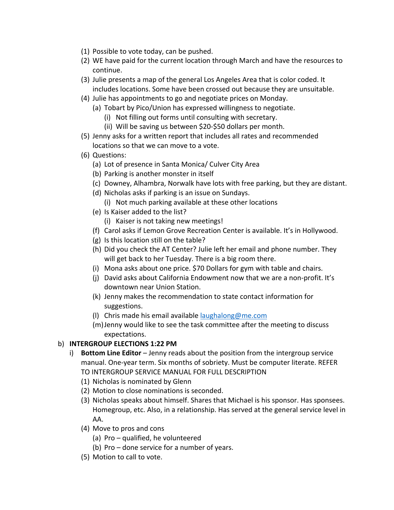- (1) Possible to vote today, can be pushed.
- (2) WE have paid for the current location through March and have the resources to continue.
- (3) Julie presents a map of the general Los Angeles Area that is color coded. It includes locations. Some have been crossed out because they are unsuitable.
- (4) Julie has appointments to go and negotiate prices on Monday.
	- (a) Tobart by Pico/Union has expressed willingness to negotiate.
		- (i) Not filling out forms until consulting with secretary.
		- (ii) Will be saving us between \$20-\$50 dollars per month.
- (5) Jenny asks for a written report that includes all rates and recommended locations so that we can move to a vote.
- (6) Questions:
	- (a) Lot of presence in Santa Monica/ Culver City Area
	- (b) Parking is another monster in itself
	- (c) Downey, Alhambra, Norwalk have lots with free parking, but they are distant.
	- (d) Nicholas asks if parking is an issue on Sundays.
		- (i) Not much parking available at these other locations
	- (e) Is Kaiser added to the list?
		- (i) Kaiser is not taking new meetings!
	- (f) Carol asks if Lemon Grove Recreation Center is available. It's in Hollywood.
	- (g) Is this location still on the table?
	- (h) Did you check the AT Center? Julie left her email and phone number. They will get back to her Tuesday. There is a big room there.
	- (i) Mona asks about one price. \$70 Dollars for gym with table and chairs.
	- (j) David asks about California Endowment now that we are a non-profit. It's downtown near Union Station.
	- (k) Jenny makes the recommendation to state contact information for suggestions.
	- (I) Chris made his email available laughalong@me.com
	- (m)Jenny would like to see the task committee after the meeting to discuss expectations.

## b) **INTERGROUP ELECTIONS 1:22 PM**

- i) **Bottom Line Editor** Jenny reads about the position from the intergroup service manual. One-year term. Six months of sobriety. Must be computer literate. REFER TO INTERGROUP SERVICE MANUAL FOR FULL DESCRIPTION
	- (1) Nicholas is nominated by Glenn
	- (2) Motion to close nominations is seconded.
	- (3) Nicholas speaks about himself. Shares that Michael is his sponsor. Has sponsees. Homegroup, etc. Also, in a relationship. Has served at the general service level in AA.
	- (4) Move to pros and cons
		- (a) Pro qualified, he volunteered
		- (b) Pro done service for a number of years.
	- (5) Motion to call to vote.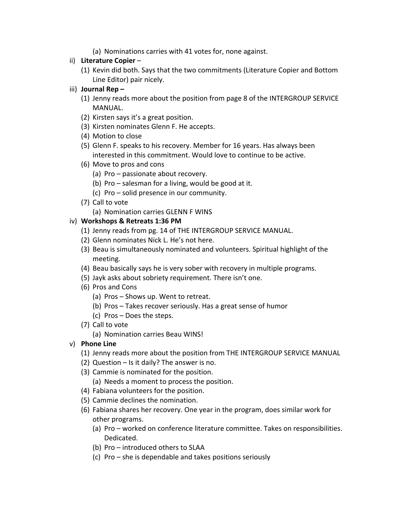(a) Nominations carries with 41 votes for, none against.

#### ii) **Literature Copier** –

- (1) Kevin did both. Says that the two commitments (Literature Copier and Bottom Line Editor) pair nicely.
- iii) **Journal Rep –**
	- (1) Jenny reads more about the position from page 8 of the INTERGROUP SERVICE MANUAL.
	- (2) Kirsten says it's a great position.
	- (3) Kirsten nominates Glenn F. He accepts.
	- (4) Motion to close
	- (5) Glenn F. speaks to his recovery. Member for 16 years. Has always been interested in this commitment. Would love to continue to be active.
	- (6) Move to pros and cons
		- (a) Pro passionate about recovery.
		- (b) Pro salesman for a living, would be good at it.
		- (c) Pro solid presence in our community.
	- (7) Call to vote
		- (a) Nomination carries GLENN F WINS

#### iv) **Workshops & Retreats 1:36 PM**

- (1) Jenny reads from pg. 14 of THE INTERGROUP SERVICE MANUAL.
- (2) Glenn nominates Nick L. He's not here.
- (3) Beau is simultaneously nominated and volunteers. Spiritual highlight of the meeting.
- (4) Beau basically says he is very sober with recovery in multiple programs.
- (5) Jayk asks about sobriety requirement. There isn't one.
- (6) Pros and Cons
	- (a) Pros Shows up. Went to retreat.
	- (b) Pros Takes recover seriously. Has a great sense of humor
	- (c) Pros Does the steps.
- (7) Call to vote
	- (a) Nomination carries Beau WINS!
- v) **Phone Line** 
	- (1) Jenny reads more about the position from THE INTERGROUP SERVICE MANUAL
	- (2) Question Is it daily? The answer is no.
	- (3) Cammie is nominated for the position. (a) Needs a moment to process the position.
	- (4) Fabiana volunteers for the position.
	- (5) Cammie declines the nomination.
	- (6) Fabiana shares her recovery. One year in the program, does similar work for other programs.
		- (a) Pro worked on conference literature committee. Takes on responsibilities. Dedicated.
		- (b) Pro introduced others to SLAA
		- (c) Pro she is dependable and takes positions seriously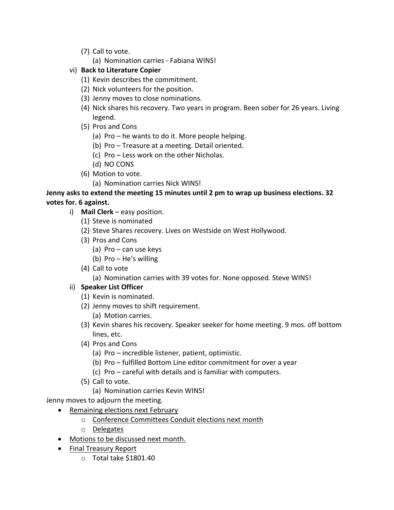- (7) Call to vote.
	- (a) Nomination carries Fabiana WINS!
- vi) **Back to Literature Copier**
	- (1) Kevin describes the commitment.
	- (2) Nick volunteers for the position.
	- (3) Jenny moves to close nominations.
	- (4) Nick shares his recovery. Two years in program. Been sober for 26 years. Living legend.
	- (5) Pros and Cons
		- (a) Pro he wants to do it. More people helping.
		- (b) Pro Treasure at a meeting. Detail oriented.
		- (c) Pro Less work on the other Nicholas.
		- (d) NO CONS
	- (6) Motion to vote.
		- (a) Nomination carries Nick WINS!

**Jenny asks to extend the meeting 15 minutes until 2 pm to wrap up business elections. 32 votes for. 6 against.**

- i) **Mail Clerk** easy position.
	- (1) Steve is nominated
	- (2) Steve Shares recovery. Lives on Westside on West Hollywood.
	- (3) Pros and Cons
		- (a) Pro can use keys
		- (b) Pro He's willing
	- (4) Call to vote

(a) Nomination carries with 39 votes for. None opposed. Steve WINS!

## ii) **Speaker List Officer**

- (1) Kevin is nominated.
- (2) Jenny moves to shift requirement. (a) Motion carries.
- (3) Kevin shares his recovery. Speaker seeker for home meeting. 9 mos. off bottom lines, etc.
- (4) Pros and Cons
	- (a) Pro incredible listener, patient, optimistic.
	- (b) Pro fulfilled Bottom Line editor commitment for over a year
	- (c) Pro careful with details and is familiar with computers.
- (5) Call to vote.
	- (a) Nomination carries Kevin WINS!

Jenny moves to adjourn the meeting.

- Remaining elections next February
	- o Conference Committees Conduit elections next month
	- o Delegates
- Motions to be discussed next month.
- Final Treasury Report
	- o Total take \$1801.40